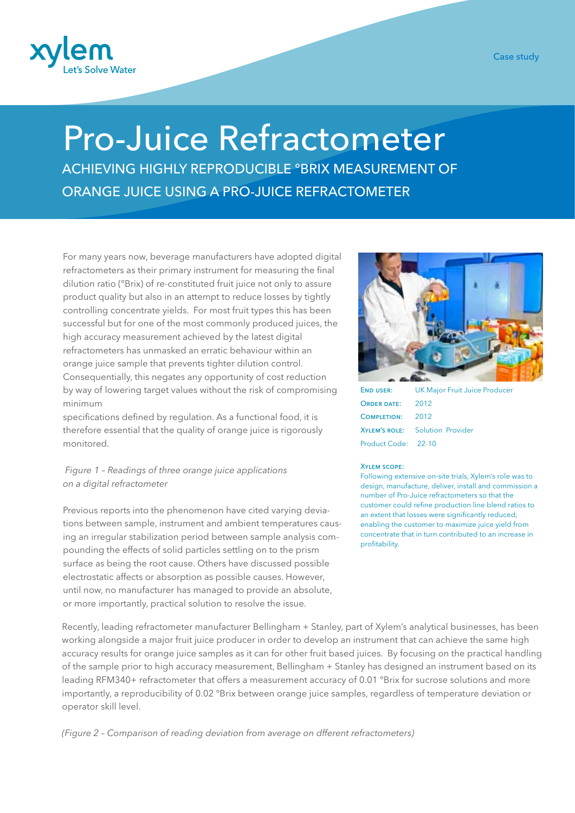

## Case study

## Pro-Juice Refractometer

ACHIEVING HIGHLY REPRODUCIBLE °BRIX MEASUREMENT OF ORANGE JUICE USING A PRO-JUICE REFRACTOMETER

For many years now, beverage manufacturers have adopted digital refractometers as their primary instrument for measuring the final dilution ratio (°Brix) of re-constituted fruit juice not only to assure product quality but also in an attempt to reduce losses by tightly controlling concentrate yields. For most fruit types this has been successful but for one of the most commonly produced juices, the high accuracy measurement achieved by the latest digital refractometers has unmasked an erratic behaviour within an orange juice sample that prevents tighter dilution control. Consequentially, this negates any opportunity of cost reduction by way of lowering target values without the risk of compromising minimum

specifications defined by regulation. As a functional food, it is therefore essential that the quality of orange juice is rigorously monitored.

## *Figure 1 – Readings of three orange juice applications on a digital refractometer*

Previous reports into the phenomenon have cited varying deviations between sample, instrument and ambient temperatures causing an irregular stabilization period between sample analysis compounding the effects of solid particles settling on to the prism surface as being the root cause. Others have discussed possible electrostatic affects or absorption as possible causes. However, until now, no manufacturer has managed to provide an absolute, or more importantly, practical solution to resolve the issue.



END USER: UK Major Fruit Juice Producer ORDER DATE: 2012 Completion: 2012 Xylem's role: Solution Provider Product Code: 22-10

## Xylem scope:

Following extensive on-site trials, Xylem's role was to design, manufacture, deliver, install and commission a number of Pro-Juice refractometers so that the customer could refine production line blend ratios to an extent that losses were significantly reduced; enabling the customer to maximize juice yield from concentrate that in turn contributed to an increase in profitability.

Recently, leading refractometer manufacturer Bellingham + Stanley, part of Xylem's analytical businesses, has been working alongside a major fruit juice producer in order to develop an instrument that can achieve the same high accuracy results for orange juice samples as it can for other fruit based juices. By focusing on the practical handling of the sample prior to high accuracy measurement, Bellingham + Stanley has designed an instrument based on its leading RFM340+ refractometer that offers a measurement accuracy of 0.01 °Brix for sucrose solutions and more importantly, a reproducibility of 0.02 °Brix between orange juice samples, regardless of temperature deviation or operator skill level.

*(Figure 2 – Comparison of reading deviation from average on dfferent refractometers)*